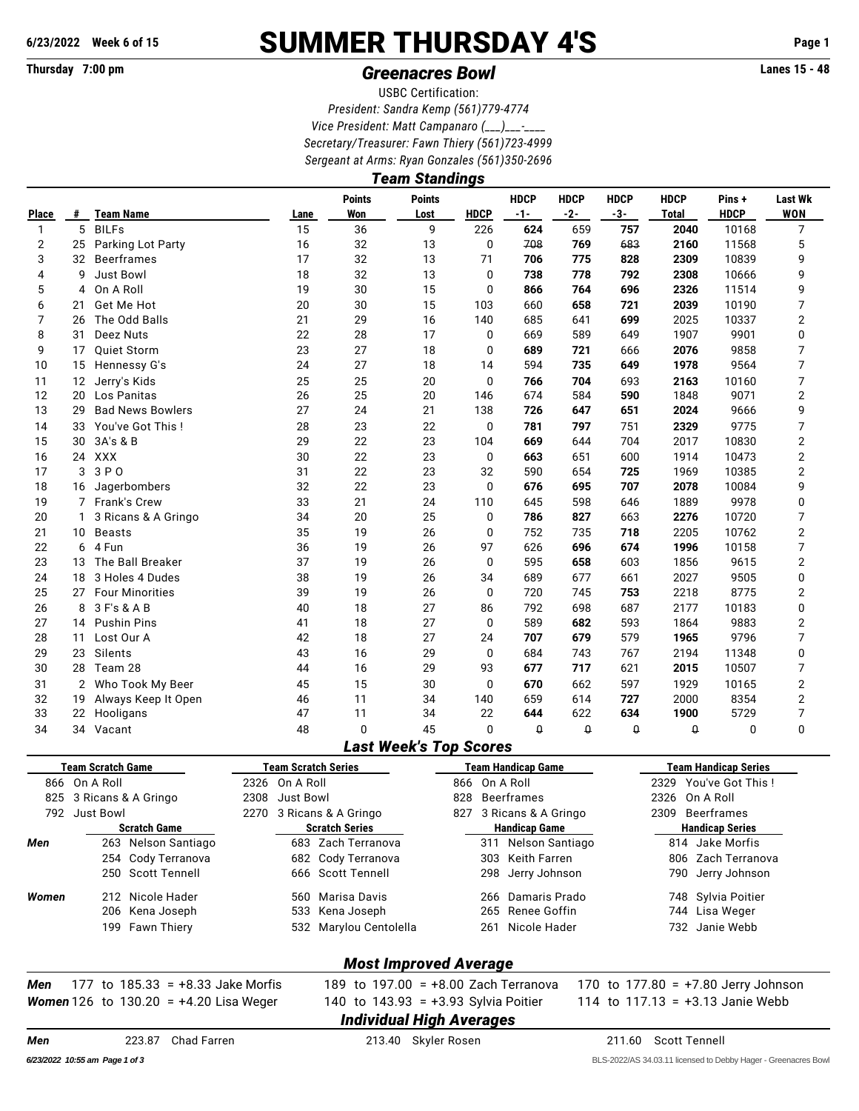## **6/23/2022 Week 6 of 15** SUMMER THURSDAY 4'S **Page 1**

## **Thursday 7:00 pm** *Greenacres Bowl* **Lanes 15 - 48**

USBC Certification: *President: Sandra Kemp (561)779-4774 Vice President: Matt Campanaro (\_\_\_)\_\_\_-\_\_\_\_ Secretary/Treasurer: Fawn Thiery (561)723-4999 Sergeant at Arms: Ryan Gonzales (561)350-2696*

|                | <b>Team Standings</b> |                                                 |  |                |                                        |                       |                |                                                 |                      |                                           |                                     |                                                       |                              |  |  |  |  |  |
|----------------|-----------------------|-------------------------------------------------|--|----------------|----------------------------------------|-----------------------|----------------|-------------------------------------------------|----------------------|-------------------------------------------|-------------------------------------|-------------------------------------------------------|------------------------------|--|--|--|--|--|
| <b>Place</b>   | #                     | <b>Team Name</b>                                |  | Lane           | <b>Points</b><br>Won                   | <b>Points</b><br>Lost | <b>HDCP</b>    | <b>HDCP</b><br>$-1-$                            | <b>HDCP</b><br>$-2-$ | <b>HDCP</b><br>$-3-$                      | <b>HDCP</b><br>Total                | Pins+<br><b>HDCP</b>                                  | <b>Last Wk</b><br><b>WON</b> |  |  |  |  |  |
| 1              | 5                     | <b>BILFs</b>                                    |  | 15             | 36                                     | 9                     | 226            | 624                                             | 659                  | 757                                       | 2040                                | 10168                                                 | 7                            |  |  |  |  |  |
| $\overline{2}$ | 25                    | Parking Lot Party                               |  | 16             | 32                                     | 13                    | 0              | 708                                             | 769                  | 683                                       | 2160                                | 11568                                                 | 5                            |  |  |  |  |  |
| 3              | 32                    | Beerframes                                      |  | 17             | 32                                     | 13                    | 71             | 706<br>775<br>828                               |                      |                                           |                                     | 10839                                                 | 9                            |  |  |  |  |  |
| 4              | 9                     | <b>Just Bowl</b>                                |  | 18             | 32                                     | 13                    | 0              | 738                                             | 778                  | 792                                       | 2308                                | 10666                                                 | 9                            |  |  |  |  |  |
| 5              | 4                     | On A Roll                                       |  | 19             | 30                                     | 15                    | 0              | 866                                             | 764                  | 696                                       | 2326                                | 11514                                                 | 9                            |  |  |  |  |  |
| 6              | 21                    | Get Me Hot                                      |  | 20             | 30                                     | 15                    | 103            | 660                                             | 658                  | 721                                       | 2039                                | 10190                                                 | 7                            |  |  |  |  |  |
| $\overline{7}$ | 26                    | The Odd Balls                                   |  | 21             | 29                                     | 16                    | 140            | 685                                             | 641                  | 699                                       | 2025                                | 10337                                                 | 2                            |  |  |  |  |  |
| 8              | 31                    | Deez Nuts                                       |  | 22             | 28                                     | 17                    | 0              | 669                                             | 589                  | 649                                       | 1907                                | 9901                                                  | 0                            |  |  |  |  |  |
| 9              | 17                    | <b>Ouiet Storm</b>                              |  | 23             | 27                                     | 18                    | 0              | 689                                             | 721                  | 666                                       | 2076                                | 9858                                                  | 7                            |  |  |  |  |  |
| 10             |                       | 15 Hennessy G's                                 |  | 24             | 27                                     | 18                    | 14             | 594                                             | 735                  | 649                                       | 1978                                | 9564                                                  | 7                            |  |  |  |  |  |
| 11             | 12                    | Jerry's Kids                                    |  | 25             | 25                                     | 20                    | 0              | 766                                             | 704                  | 693                                       | 2163                                | 10160                                                 | 7                            |  |  |  |  |  |
| 12             | 20                    | Los Panitas                                     |  | 26             | 25                                     | 20                    | 146            | 674                                             | 584                  | 590                                       | 1848                                | 9071                                                  | 2                            |  |  |  |  |  |
| 13             | 29                    | <b>Bad News Bowlers</b>                         |  | 27             | 24                                     | 21                    | 138            | 726                                             | 647                  | 651                                       | 2024                                | 9666                                                  | 9                            |  |  |  |  |  |
| 14             | 33                    | You've Got This!                                |  | 28             | 23                                     | 22                    | 0              | 781                                             | 797                  | 751                                       | 2329                                | 9775                                                  | 7                            |  |  |  |  |  |
| 15             | 30                    | 3A's & B                                        |  | 29             | 22                                     | 23                    | 104            | 669                                             | 644                  | 704                                       | 2017                                | 10830                                                 | 2                            |  |  |  |  |  |
| 16             |                       | 24 XXX                                          |  | 30             | 22                                     | 23                    | 0              | 663                                             | 651                  | 600                                       | 1914                                | 10473                                                 | 2                            |  |  |  |  |  |
| 17             | 3                     | 3 P O                                           |  | 31             | 22                                     | 23                    | 32             | 590                                             | 654                  | 725                                       | 1969                                | 10385                                                 | 2                            |  |  |  |  |  |
| 18             | 16                    | Jagerbombers                                    |  | 32             | 22                                     | 23                    | 0              | 676                                             | 695                  | 707                                       | 2078                                | 10084                                                 | 9                            |  |  |  |  |  |
| 19             | 7                     | Frank's Crew                                    |  | 33             | 21                                     | 24                    | 110            | 645                                             | 598                  | 646                                       | 1889                                | 9978                                                  | 0                            |  |  |  |  |  |
| 20             | 1                     | 3 Ricans & A Gringo                             |  | 34             | 20                                     | 25                    | 0              | 786                                             | 827                  | 663                                       | 2276                                | 10720                                                 | 7                            |  |  |  |  |  |
| 21             |                       | 10 Beasts                                       |  | 35             | 19                                     | 26                    | 0              | 752                                             | 735                  | 718                                       | 2205                                | 10762                                                 | 2                            |  |  |  |  |  |
| 22             | 6                     | 4 Fun                                           |  | 36             | 19                                     | 26                    | 97             | 626                                             | 696                  | 674                                       | 1996                                | 10158                                                 | 7                            |  |  |  |  |  |
| 23             | 13                    | The Ball Breaker                                |  | 37             | 19                                     | 26                    | 0              | 595                                             | 658                  | 603                                       | 1856                                | 9615                                                  | $\mathbf 2$                  |  |  |  |  |  |
| 24             | 18                    | 3 Holes 4 Dudes                                 |  | 38             | 19                                     | 26                    | 34             | 689                                             | 677                  | 661                                       | 2027                                | 9505                                                  | 0                            |  |  |  |  |  |
| 25             |                       | 27 Four Minorities                              |  | 39             | 19                                     | 26                    | 0              | 720                                             | 745                  | 753                                       | 2218                                | 8775                                                  | 2                            |  |  |  |  |  |
| 26             |                       | 8 3 F's & A B                                   |  | 40             | 18                                     | 27                    | 86             | 792                                             | 698                  | 687                                       | 2177                                | 10183                                                 | 0                            |  |  |  |  |  |
| 27             |                       | 14 Pushin Pins                                  |  | 41             | 18                                     | 27                    | 0              | 589                                             | 682                  | 593                                       | 1864                                | 9883                                                  | 2                            |  |  |  |  |  |
| 28             | 11                    | Lost Our A                                      |  | 42             | 18                                     | 27                    | 24             | 707                                             | 679                  | 579                                       | 1965                                | 9796                                                  | 7                            |  |  |  |  |  |
| 29             | 23                    | Silents                                         |  | 43             | 16                                     | 29                    | 0              | 684                                             | 743                  | 767                                       | 2194                                | 11348                                                 | 0                            |  |  |  |  |  |
| 30             |                       | 28 Team 28                                      |  | 44             | 16                                     | 29                    | 93             | 677                                             | 717                  | 621                                       | 2015                                | 10507                                                 | 7                            |  |  |  |  |  |
| 31             |                       | 2 Who Took My Beer                              |  | 45             | 15                                     | 30                    | 0              | 670                                             | 662                  | 597                                       | 1929                                | 10165                                                 | 2                            |  |  |  |  |  |
| 32             | 19                    | Always Keep It Open                             |  | 46             | 11                                     | 34                    | 140            | 659                                             | 614                  | 727                                       | 2000                                | 8354                                                  | $\overline{2}$               |  |  |  |  |  |
| 33             |                       | 22 Hooligans                                    |  | 47             | 11                                     | 34                    | 22             | 644                                             | 622                  | 634                                       | 1900                                | 5729                                                  | 7                            |  |  |  |  |  |
| 34             |                       | 34 Vacant                                       |  | 48             | 0<br><b>Last Week's Top Scores</b>     | 45                    | 0              | $\theta$                                        | $\theta$             | 0                                         | $\theta$                            | 0                                                     | 0                            |  |  |  |  |  |
|                |                       |                                                 |  |                |                                        |                       |                |                                                 |                      |                                           |                                     |                                                       |                              |  |  |  |  |  |
|                |                       | <b>Team Scratch Game</b><br>866 On A Roll       |  | 2326 On A Roll | <b>Team Scratch Series</b>             |                       | 866 On A Roll  | <b>Team Handicap Game</b>                       |                      |                                           |                                     | <b>Team Handicap Series</b><br>2329 You've Got This ! |                              |  |  |  |  |  |
|                |                       | 825 3 Ricans & A Gringo                         |  | 2308 Just Bowl |                                        |                       | 828 Beerframes |                                                 |                      |                                           | 2326 On A Roll                      |                                                       |                              |  |  |  |  |  |
|                |                       |                                                 |  |                | 2270 3 Ricans & A Gringo               |                       |                |                                                 |                      |                                           |                                     |                                                       |                              |  |  |  |  |  |
|                |                       | 792 Just Bowl<br><b>Scratch Game</b>            |  |                | <b>Scratch Series</b>                  |                       |                | 827 3 Ricans & A Gringo<br><b>Handicap Game</b> |                      | 2309 Beerframes<br><b>Handicap Series</b> |                                     |                                                       |                              |  |  |  |  |  |
| Men            |                       | 263 Nelson Santiago                             |  |                | 683 Zach Terranova                     |                       |                | 311 Nelson Santiago                             |                      |                                           | 814 Jake Morfis                     |                                                       |                              |  |  |  |  |  |
|                |                       | 254 Cody Terranova                              |  |                | 682 Cody Terranova                     |                       |                | 303 Keith Farren                                |                      | 806 Zach Terranova                        |                                     |                                                       |                              |  |  |  |  |  |
|                |                       | 250 Scott Tennell                               |  |                | 666 Scott Tennell                      |                       |                | 298 Jerry Johnson                               |                      |                                           | 790 Jerry Johnson                   |                                                       |                              |  |  |  |  |  |
| Women          |                       | 212 Nicole Hader                                |  |                | 560 Marisa Davis                       |                       |                | 266 Damaris Prado                               |                      |                                           | 748 Sylvia Poitier                  |                                                       |                              |  |  |  |  |  |
|                |                       | 206 Kena Joseph                                 |  |                | 533 Kena Joseph                        |                       |                | 265 Renee Goffin                                |                      | 744 Lisa Weger                            |                                     |                                                       |                              |  |  |  |  |  |
|                |                       | 199 Fawn Thiery                                 |  |                | 532 Marylou Centolella                 |                       |                | 261 Nicole Hader                                |                      |                                           |                                     | 732 Janie Webb                                        |                              |  |  |  |  |  |
|                |                       |                                                 |  |                | <b>Most Improved Average</b>           |                       |                |                                                 |                      |                                           |                                     |                                                       |                              |  |  |  |  |  |
| Men            |                       | 177 to $185.33 = +8.33$ Jake Morfis             |  |                | 189 to 197.00 = $+8.00$ Zach Terranova |                       |                |                                                 |                      |                                           | 170 to 177.80 = +7.80 Jerry Johnson |                                                       |                              |  |  |  |  |  |
|                |                       | <b>Women</b> 126 to 130.20 = $+4.20$ Lisa Weger |  |                | 140 to $143.93 = +3.93$ Sylvia Poitier |                       |                |                                                 |                      |                                           | 114 to $117.13 = +3.13$ Janie Webb  |                                                       |                              |  |  |  |  |  |
|                |                       |                                                 |  |                | <b>Individual High Averages</b>        |                       |                |                                                 |                      |                                           |                                     |                                                       |                              |  |  |  |  |  |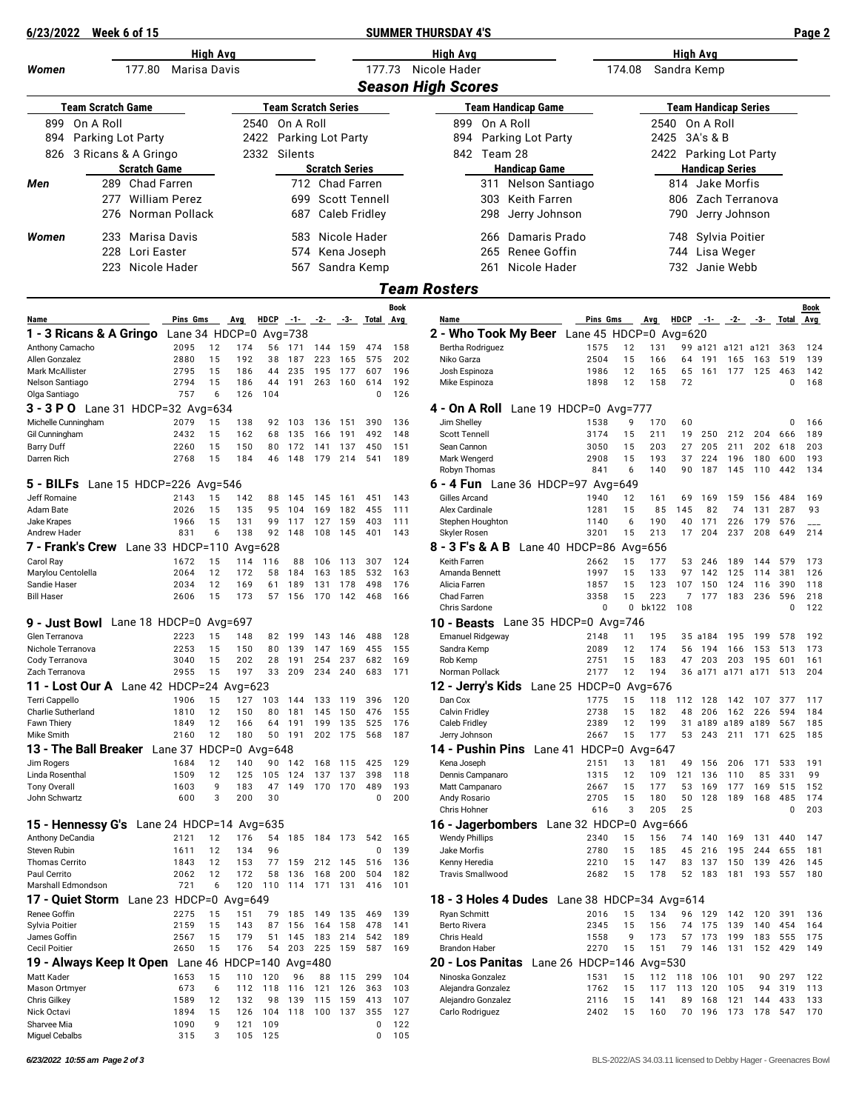| 6/23/2022                                                  |                          | Week 6 of 15 |                     |                                        |          |                  |              |                            |            |                       |                                              |                           | <b>SUMMER THURSDAY 4'S</b>                                        |                        |              |                             |                                 |             |                    | Page 2     |
|------------------------------------------------------------|--------------------------|--------------|---------------------|----------------------------------------|----------|------------------|--------------|----------------------------|------------|-----------------------|----------------------------------------------|---------------------------|-------------------------------------------------------------------|------------------------|--------------|-----------------------------|---------------------------------|-------------|--------------------|------------|
| High Avg                                                   |                          |              |                     |                                        |          |                  |              |                            | High Avg   | High Avg              |                                              |                           |                                                                   |                        |              |                             |                                 |             |                    |            |
| 177.80<br>Women<br>Marisa Davis                            |                          |              |                     |                                        | 177.73   |                  | Nicole Hader | 174.08                     |            | Sandra Kemp           |                                              |                           |                                                                   |                        |              |                             |                                 |             |                    |            |
|                                                            |                          |              |                     |                                        |          |                  |              |                            |            |                       |                                              | <b>Season High Scores</b> |                                                                   |                        |              |                             |                                 |             |                    |            |
|                                                            | <b>Team Scratch Game</b> |              |                     |                                        |          |                  |              | <b>Team Scratch Series</b> |            |                       |                                              |                           | <b>Team Handicap Game</b>                                         |                        |              | <b>Team Handicap Series</b> |                                 |             |                    |            |
| 899                                                        | On A Roll                |              |                     |                                        |          |                  | 2540         | On A Roll                  |            |                       |                                              |                           | On A Roll<br>899                                                  |                        | 2540         | On A Roll                   |                                 |             |                    |            |
| 894                                                        | Parking Lot Party        |              |                     |                                        |          |                  |              | 2422 Parking Lot Party     |            |                       |                                              |                           | Parking Lot Party<br>894                                          |                        | 2425         | 3A's & B                    |                                 |             |                    |            |
| 826                                                        | 3 Ricans & A Gringo      |              |                     |                                        |          |                  |              | 2332 Silents               |            |                       |                                              |                           | 842 Team 28                                                       |                        |              | 2422 Parking Lot Party      |                                 |             |                    |            |
|                                                            |                          |              | <b>Scratch Game</b> |                                        |          |                  |              |                            |            | <b>Scratch Series</b> |                                              |                           | <b>Handicap Game</b>                                              |                        |              | <b>Handicap Series</b>      |                                 |             |                    |            |
| Men                                                        |                          |              | 289 Chad Farren     |                                        |          |                  |              |                            |            | 712 Chad Farren       |                                              |                           | 311 Nelson Santiago                                               |                        |              | 814 Jake Morfis             |                                 |             |                    |            |
|                                                            |                          | 277<br>276   |                     | <b>William Perez</b><br>Norman Pollack |          |                  |              | 699                        |            |                       | <b>Scott Tennell</b><br><b>Caleb Fridley</b> |                           | Keith Farren<br>303                                               |                        |              | 806                         | Zach Terranova<br>Jerry Johnson |             |                    |            |
|                                                            |                          |              |                     |                                        |          |                  |              | 687                        |            |                       |                                              |                           | 298<br>Jerry Johnson                                              |                        |              | 790                         |                                 |             |                    |            |
| Women                                                      |                          | 233          |                     | Marisa Davis                           |          |                  |              | 583                        |            |                       | Nicole Hader                                 |                           | Damaris Prado<br>266                                              |                        |              | 748                         | Sylvia Poitier                  |             |                    |            |
|                                                            |                          | 228          | Lori Easter         |                                        |          |                  |              | 574                        |            |                       | Kena Joseph                                  |                           | Renee Goffin<br>265                                               |                        |              | 744                         | Lisa Weger                      |             |                    |            |
|                                                            |                          | 223          |                     | Nicole Hader                           |          |                  |              |                            |            |                       | 567 Sandra Kemp                              |                           | Nicole Hader<br>261                                               |                        |              | 732 Janie Webb              |                                 |             |                    |            |
|                                                            |                          |              |                     |                                        |          |                  |              |                            |            |                       |                                              |                           | <b>Team Rosters</b>                                               |                        |              |                             |                                 |             |                    |            |
|                                                            |                          |              |                     |                                        |          |                  |              |                            |            |                       |                                              | <b>Book</b>               |                                                                   |                        |              |                             |                                 |             |                    | Book       |
| Name<br>1 - 3 Ricans & A Gringo Lane 34 HDCP=0             |                          |              |                     | Pins Gms                               |          | Avg              | <b>HDCP</b>  | $-1 - 2$<br>Avg=738        |            |                       | -3- Total                                    | <b>Avg</b>                | Name<br>2 - Who Took My Beer Lane 45 HDCP=0 Avg=620               | Pins Gms               | Avq          | <b>HDCP</b><br>$-1-$        |                                 | $-2 - 3$    | Total              | Avg        |
| Anthony Camacho                                            |                          |              |                     | 2095                                   | 12       | 174              |              | 56 171                     |            | 144 159               | 474                                          | 158                       | Bertha Rodriguez<br>1575                                          | 12                     | 131          | 99 a121 a121 a121           |                                 |             | 363                | 124        |
| Allen Gonzalez                                             |                          |              |                     | 2880                                   | 15       | 192              | 38           | 187                        | 223        | 165                   | 575                                          | 202                       | Niko Garza<br>2504                                                | 15                     | 166          | 191<br>64                   | 165                             | 163         | 519                | 139        |
| Mark McAllister<br>Nelson Santiago                         |                          |              |                     | 2795<br>2794                           | 15<br>15 | 186<br>186       | 44<br>44     | 235<br>191                 | 195<br>263 | 177<br>160            | 607<br>614                                   | 196<br>192                | Josh Espinoza<br>1986<br>1898<br>Mike Espinoza                    | 12<br>12               | 165<br>158   | 65<br>161<br>72             |                                 | 177 125 463 | $\mathbf 0$        | 142<br>168 |
| Olga Santiago                                              |                          |              |                     | 757                                    | 6        | 126              | 104          |                            |            |                       | 0                                            | 126                       |                                                                   |                        |              |                             |                                 |             |                    |            |
| 3 - 3 P O Lane 31 HDCP=32 Avg=634                          |                          |              |                     |                                        |          |                  |              |                            |            |                       |                                              |                           | <b>4 - On A Roll</b> Lane 19 HDCP=0 Avg=777                       |                        |              |                             |                                 |             |                    |            |
| Michelle Cunningham<br>Gil Cunningham                      |                          |              |                     | 2079<br>2432                           | 15<br>15 | 138<br>162       | 68           | 92 103<br>135              | 136<br>166 | 151<br>191            | 390<br>492                                   | 136<br>148                | Jim Shelley<br>1538<br><b>Scott Tennell</b><br>3174               | 9<br>15                | 170<br>211   | 60<br>19<br>250             | 212                             | 204         | 0<br>666           | 166<br>189 |
| <b>Barry Duff</b>                                          |                          |              |                     | 2260                                   | 15       | 150              | 80           | 172                        | 141        | 137                   | 450                                          | 151                       | Sean Cannon<br>3050                                               | 15                     | 203          | 205<br>27                   | 211                             | 202         | 618                | 203        |
| Darren Rich                                                |                          |              |                     | 2768                                   | 15       | 184              | 46           | 148                        | 179        | 214                   | 541                                          | 189                       | 2908<br>Mark Wengerd<br>Robyn Thomas<br>841                       | 15<br>6                | 193<br>140   | 224<br>37<br>90<br>187      | 196<br>145                      | 180<br>110  | 600<br>442         | 193<br>134 |
| 5 - BILFs                                                  |                          |              |                     | Lane 15 HDCP=226 Avg=546               |          |                  |              |                            |            |                       |                                              |                           | <b>6 - 4 Fun</b> Lane 36 HDCP=97 Avg=649                          |                        |              |                             |                                 |             |                    |            |
| Jeff Romaine                                               |                          |              |                     | 2143                                   | 15       | 142              | 88           | 145                        | 145        | 161                   | 451                                          | 143                       | Gilles Arcand<br>1940                                             | 12                     | 161          | 69<br>169                   | 159                             | 156         | 484                | 169        |
| Adam Bate<br>Jake Krapes                                   |                          |              |                     | 2026<br>1966                           | 15<br>15 | 135<br>131       | 95<br>99     | 104<br>117                 | 169<br>127 | 182<br>159            | 455<br>403                                   | 111<br>111                | Alex Cardinale<br>1281<br>Stephen Houghton<br>1140                | 15<br>6                | 85<br>190    | 145<br>82<br>40<br>171      | 74<br>226                       | 131<br>179  | 287<br>576         | 93         |
| Andrew Hader                                               |                          |              |                     | 831                                    | 6        | 138              |              | 92 148                     | 108        | 145                   | 401                                          | 143                       | 3201<br>Skyler Rosen                                              | 15                     | 213          | 17<br>204                   | 237                             | 208         | 649                | 214        |
| 7 - Frank's Crew Lane 33 HDCP=110                          |                          |              |                     |                                        |          | Avg= $628$       |              |                            |            |                       |                                              |                           | Lane 40 HDCP=86 Avg=656<br>8 - 3 F's & A B                        |                        |              |                             |                                 |             |                    |            |
| Carol Ray<br>Marylou Centolella                            |                          |              |                     | 1672<br>2064                           | 15<br>12 | 114<br>172       | 116<br>58    | 88<br>184                  | 106<br>163 | 113<br>185            | 307<br>532                                   | 124<br>163                | Keith Farren<br>2662<br>Amanda Bennett<br>1997                    | 15<br>15               | 177<br>133   | 53<br>246<br>97<br>142      | 189<br>125                      | 144<br>114  | 579<br>381         | 173<br>126 |
| Sandie Haser                                               |                          |              |                     | 2034                                   | 12       | 169              | 61           | 189                        | 131        | 178                   | 498                                          | 176                       | Alicia Farren<br>1857                                             | 15                     | 123          | 107<br>150                  | 124                             | 116         | 390                | 118        |
| <b>Bill Haser</b>                                          |                          |              |                     | 2606                                   | 15       | 173              | 57           | 156                        | 170        | 142                   | 468                                          | 166                       | 3358<br>Chad Farren<br>Chris Sardone                              | 15<br>$\mathbf 0$<br>0 | 223<br>bk122 | 7<br>177<br>108             | 183                             | 236         | 596<br>$\mathbf 0$ | 218<br>122 |
| 9 - Just Bowl                                              |                          |              |                     | Lane 18 HDCP=0 $Avg=697$               |          |                  |              |                            |            |                       |                                              |                           | Lane 35 HDCP=0 $Avg=746$<br>10 - Beasts                           |                        |              |                             |                                 |             |                    |            |
| Glen Terranova                                             |                          |              |                     | 2223                                   | 15       | 148              |              | 82 199                     | 143        | 146                   | 488                                          | 128                       | <b>Emanuel Ridgeway</b><br>2148                                   | 11                     | 195          | 35 a184                     | 195                             | 199         | 578                | 192        |
| Nichole Terranova                                          |                          |              |                     | 2253<br>3040                           | 15<br>15 | 150<br>202       | 28           | 80 139<br>191              |            | 147 169               | 455                                          | 155<br>169                | 2089<br>Sandra Kemp<br>Rob Kemp<br>2751                           | 12<br>15               | 174<br>183   | 56 194<br>47                | 166                             | 153 513     |                    | 173<br>161 |
| Cody Terranova<br>Zach Terranova                           |                          |              |                     | 2955                                   | 15       | 197              | 33           | 209                        | 254<br>234 | 237<br>240            | 682<br>683                                   | 171                       | 2177<br>Norman Pollack                                            | 12                     | 194          | 203<br>36 a171 a171 a171    | 203                             | 195 601     | 513                | 204        |
| 11 - Lost Our A Lane 42 HDCP=24 Avg=623                    |                          |              |                     |                                        |          |                  |              |                            |            |                       |                                              |                           | 12 - Jerry's Kids Lane 25 HDCP=0 Avg=676                          |                        |              |                             |                                 |             |                    |            |
| Terri Cappello<br>Charlie Sutherland                       |                          |              |                     | 1906<br>1810                           | 15<br>12 | 127<br>150       | 80           | 103 144<br>181             | 133<br>145 | 119<br>150            | 396<br>476                                   | 120<br>155                | Dan Cox<br>1775<br><b>Calvin Fridley</b><br>2738                  | 15<br>15               | 118<br>182   | 112 128<br>48<br>206        | 142<br>162                      | 107<br>226  | 377<br>594         | 117<br>184 |
| Fawn Thiery                                                |                          |              |                     | 1849                                   | 12       | 166              | 64           | 191                        | 199        | 135                   | 525                                          | 176                       | 2389<br>Caleb Fridley                                             | 12                     | 199          | 31 a189 a189                |                                 | a189        | 567                | 185        |
| Mike Smith                                                 |                          |              |                     | 2160                                   | 12       | 180              |              | 50 191                     |            | 202 175               | 568                                          | 187                       | Jerry Johnson<br>2667                                             | 15                     | 177          | 53 243                      | 211                             | 171         | 625                | 185        |
| 13 - The Ball Breaker Lane 37 HDCP=0 Avg=648<br>Jim Rogers |                          |              |                     | 1684                                   | 12       | 140              | 90           | 142                        | 168        | 115                   | 425                                          | 129                       | 14 - Pushin Pins<br>Lane 41 HDCP=0 Avg=647<br>Kena Joseph<br>2151 | 13                     | 181          | 49<br>156                   | 206                             | 171         | 533                | 191        |
| Linda Rosenthal                                            |                          |              |                     | 1509                                   | 12       | 125              | 105          | 124                        | 137        | 137                   | 398                                          | 118                       | Dennis Campanaro<br>1315                                          | 12                     | 109          | 121<br>136                  | 110                             | 85          | 331                | 99         |
| <b>Tony Overall</b>                                        |                          |              |                     | 1603<br>600                            | 9<br>3   | 183<br>200       | 47<br>30     | 149                        | 170        | 170                   | 489<br>0                                     | 193<br>200                | Matt Campanaro<br>2667<br>2705                                    | 15<br>15               | 177<br>180   | 53<br>169<br>50<br>128      | 177<br>189                      | 169<br>168  | 515<br>485         | 152<br>174 |
| John Schwartz                                              |                          |              |                     |                                        |          |                  |              |                            |            |                       |                                              |                           | Andy Rosario<br>Chris Hohner<br>616                               | 3                      | 205          | 25                          |                                 |             | $\mathbf 0$        | 203        |
| 15 - Hennessy G's Lane 24 HDCP=14 Avg=635                  |                          |              |                     |                                        |          |                  |              |                            |            |                       |                                              |                           | Lane 32 HDCP=0 Avg=666<br>16 - Jagerbombers                       |                        |              |                             |                                 |             |                    |            |
| Anthony DeCandia                                           |                          |              |                     | 2121                                   | 12       | 176              | 54           | 185                        | 184        | 173                   | 542                                          | 165                       | <b>Wendy Phillips</b><br>2340                                     | 15                     | 156          | 74<br>140                   | 169                             | 131         | 440                | 147        |
| Steven Rubin<br><b>Thomas Cerrito</b>                      |                          |              |                     | 1611<br>1843                           | 12<br>12 | 134<br>153       | 96<br>77     | 159                        | 212        | 145                   | 0<br>516                                     | 139<br>136                | Jake Morfis<br>2780<br>Kenny Heredia<br>2210                      | 15<br>15               | 185<br>147   | 45<br>216<br>83<br>137      | 195<br>150                      | 244<br>139  | 655<br>426         | 181<br>145 |
| Paul Cerrito                                               |                          |              |                     | 2062                                   | 12       | 172              | 58           | 136                        | 168        | 200                   | 504                                          | 182                       | <b>Travis Smallwood</b><br>2682                                   | 15                     | 178          | 52<br>183                   | 181                             |             | 193 557            | 180        |
| Marshall Edmondson<br>17 - Quiet Storm                     |                          |              |                     | 721<br>Lane 23 HDCP=0 $Avg=649$        | 6        | 120              | 110          | 114                        |            | 171 131               | 416                                          | 101                       | <b>18 - 3 Holes 4 Dudes</b> Lane 38 HDCP=34 Avg=614               |                        |              |                             |                                 |             |                    |            |
| Renee Goffin                                               |                          |              |                     | 2275                                   | 15       | 151              | 79           | 185                        | 149        | 135                   | 469                                          | 139                       | <b>Ryan Schmitt</b><br>2016                                       | 15                     | 134          | 96<br>129                   | 142                             | 120         | 391                | 136        |
| Sylvia Poitier                                             |                          |              |                     | 2159                                   | 15       | 143              | 87           | 156                        | 164        | 158                   | 478                                          | 141                       | Berto Rivera<br>2345                                              | 15                     | 156          | 74<br>175                   | 139                             | 140         | 454                | 164        |
| James Goffin<br><b>Cecil Poitier</b>                       |                          |              |                     | 2567<br>2650                           | 15<br>15 | 179<br>176       | 51<br>54     | 145<br>203                 | 183<br>225 | 214<br>159            | 542<br>587                                   | 189<br>169                | Chris Heald<br>1558<br>2270<br><b>Brandon Haber</b>               | 9<br>15                | 173<br>151   | 57<br>173<br>79<br>146      | 199<br>131                      | 183<br>152  | 555<br>429         | 175<br>149 |
| 19 - Always Keep It Open                                   |                          |              |                     |                                        |          | Lane 46 HDCP=140 |              | Avg= $480$                 |            |                       |                                              |                           | 20 - Los Panitas<br>Lane 26 HDCP=146 $Avg=530$                    |                        |              |                             |                                 |             |                    |            |
| Matt Kader                                                 |                          |              |                     | 1653                                   | 15       | 110              | 120          | 96                         | 88         | 115                   | 299                                          | 104                       | Ninoska Gonzalez<br>1531                                          | 15                     | 112          | 118<br>106                  | 101                             | 90          | 297                | 122        |
| Mason Ortmyer<br><b>Chris Gilkey</b>                       |                          |              |                     | 673<br>1589                            | 6<br>12  | 112<br>132       | 118<br>98    | 116<br>139                 | 121<br>115 | 126<br>159            | 363<br>413                                   | 103<br>107                | Alejandra Gonzalez<br>1762<br>Alejandro Gonzalez<br>2116          | 15<br>15               | 117<br>141   | 113<br>120<br>89<br>168     | 105<br>121                      | 94<br>144   | 319<br>433         | 113<br>133 |
| Nick Octavi                                                |                          |              |                     | 1894                                   | 15       | 126              | 104          | 118                        | 100        | 137                   | 355                                          | 127                       | Carlo Rodriguez<br>2402                                           | 15                     | 160          | 70<br>196                   | 173                             | 178         | 547                | 170        |
| Sharvee Mia                                                |                          |              |                     | 1090                                   | 9        | 121              | 109          |                            |            |                       | 0                                            | 122                       |                                                                   |                        |              |                             |                                 |             |                    |            |

Miguel Cebalbs 315 3 105 125 0 105